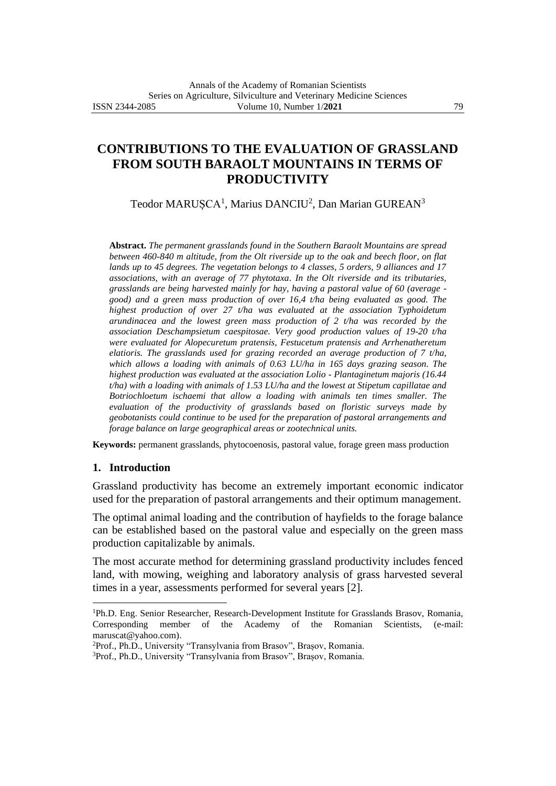# **CONTRIBUTIONS TO THE EVALUATION OF GRASSLAND FROM SOUTH BARAOLT MOUNTAINS IN TERMS OF PRODUCTIVITY**

Teodor MARUȘCA<sup>1</sup>, Marius DANCIU<sup>2</sup>, Dan Marian GUREAN<sup>3</sup>

**Abstract.** *The permanent grasslands found in the Southern Baraolt Mountains are spread between 460-840 m altitude, from the Olt riverside up to the oak and beech floor, on flat lands up to 45 degrees. The vegetation belongs to 4 classes, 5 orders, 9 alliances and 17 associations, with an average of 77 phytotaxa. In the Olt riverside and its tributaries, grasslands are being harvested mainly for hay, having a pastoral value of 60 (average good) and a green mass production of over 16,4 t/ha being evaluated as good. The highest production of over 27 t/ha was evaluated at the association Typhoidetum arundinacea and the lowest green mass production of 2 t/ha was recorded by the association Deschampsietum caespitosae. Very good production values of 19-20 t/ha were evaluated for Alopecuretum pratensis, Festucetum pratensis and Arrhenatheretum elatioris. The grasslands used for grazing recorded an average production of 7 t/ha, which allows a loading with animals of 0.63 LU/ha in 165 days grazing season. The highest production was evaluated at the association Lolio - Plantaginetum majoris (16.44 t/ha) with a loading with animals of 1.53 LU/ha and the lowest at Stipetum capillatae and Botriochloetum ischaemi that allow a loading with animals ten times smaller. The evaluation of the productivity of grasslands based on floristic surveys made by geobotanists could continue to be used for the preparation of pastoral arrangements and forage balance on large geographical areas or zootechnical units.* 

**Keywords:** permanent grasslands, phytocoenosis, pastoral value, forage green mass production

### **1. Introduction**

Grassland productivity has become an extremely important economic indicator used for the preparation of pastoral arrangements and their optimum management.

The optimal animal loading and the contribution of hayfields to the forage balance can be established based on the pastoral value and especially on the green mass production capitalizable by animals.

The most accurate method for determining grassland productivity includes fenced land, with mowing, weighing and laboratory analysis of grass harvested several times in a year, assessments performed for several years [2].

<sup>2</sup>Prof., Ph.D., University "Transylvania from Brasov", Brașov, Romania.

<sup>&</sup>lt;sup>1</sup>Ph.D. Eng. Senior Researcher, Research-Development Institute for Grasslands Brasov, Romania, Corresponding member of the Academy of the Romanian Scientists, (e-mail: maruscat@yahoo.com).

<sup>3</sup>Prof., Ph.D., University "Transylvania from Brasov", Brașov, Romania.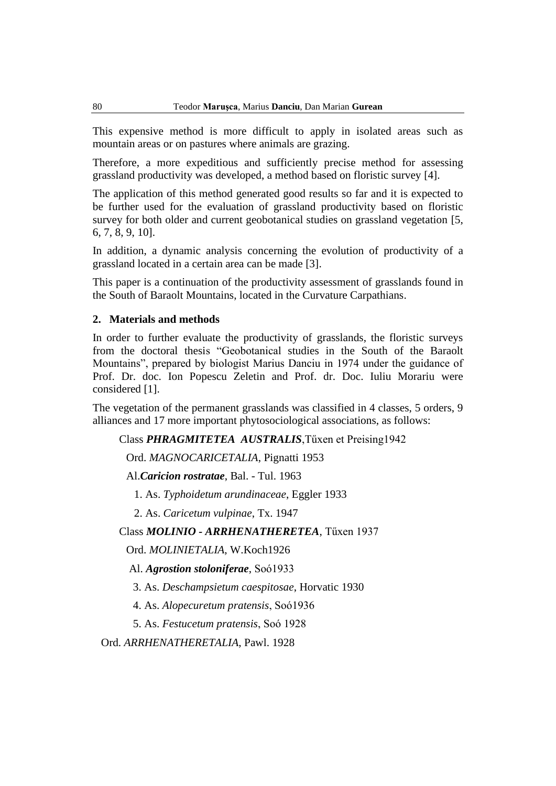This expensive method is more difficult to apply in isolated areas such as mountain areas or on pastures where animals are grazing.

Therefore, a more expeditious and sufficiently precise method for assessing grassland productivity was developed, a method based on floristic survey [4].

The application of this method generated good results so far and it is expected to be further used for the evaluation of grassland productivity based on floristic survey for both older and current geobotanical studies on grassland vegetation [5, 6, 7, 8, 9, 10].

In addition, a dynamic analysis concerning the evolution of productivity of a grassland located in a certain area can be made [3].

This paper is a continuation of the productivity assessment of grasslands found in the South of Baraolt Mountains, located in the Curvature Carpathians.

## **2. Materials and methods**

In order to further evaluate the productivity of grasslands, the floristic surveys from the doctoral thesis "Geobotanical studies in the South of the Baraolt Mountains", prepared by biologist Marius Danciu in 1974 under the guidance of Prof. Dr. doc. Ion Popescu Zeletin and Prof. dr. Doc. Iuliu Morariu were considered [1].

The vegetation of the permanent grasslands was classified in 4 classes, 5 orders, 9 alliances and 17 more important phytosociological associations, as follows:

Class *PHRAGMITETEA AUSTRALIS*,Tűxen et Preising1942

Ord. *MAGNOCARICETALIA*, Pignatti 1953

Al.*Caricion rostratae*, Bal. - Tul. 1963

1. As. *Typhoidetum arundinaceae*, Eggler 1933

2. As. *Caricetum vulpinae*, Tx. 1947

Class *MOLINIO - ARRHENATHERETEA*, Tűxen 1937

Ord. *MOLINIETALIA*, W.Koch1926

Al. *Agrostion stoloniferae*, Soó1933

3. As. *Deschampsietum caespitosae*, Horvatic 1930

4. As. *Alopecuretum pratensis*, Soó1936

5. As. *Festucetum pratensis*, Soó 1928

Ord. *ARRHENATHERETALIA*, Pawl. 1928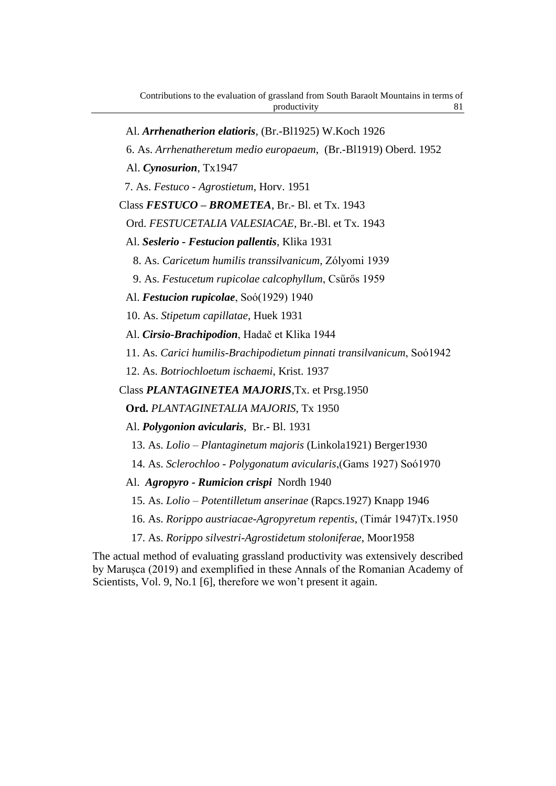- Al. *Arrhenatherion elatioris*, (Br.-Bl1925) W.Koch 1926 6. As. *Arrhenatheretum medio europaeum*, (Br.-Bl1919) Oberd. 1952 Al. *Cynosurion*, Tx1947 7. As. *Festuco - Agrostietum*, Horv. 1951 Class *FESTUCO – BROMETEA*, Br.- Bl. et Tx. 1943 Ord. *FESTUCETALIA VALESIACAE*, Br.-Bl. et Tx. 1943 Al. *Seslerio - Festucion pallentis*, Klika 1931 8. As. *Caricetum humilis transsilvanicum*, Zólyomi 1939 9. As. *Festucetum rupicolae calcophyllum*, Csűrős 1959 Al. *Festucion rupicolae*, Soó(1929) 1940 10. As. *Stipetum capillatae*, Huek 1931 Al. *Cirsio-Brachipodion*, Hadač et Klika 1944 11. As. *Carici humilis-Brachipodietum pinnati transilvanicum*, Soó1942 12. As. *Botriochloetum ischaemi*, Krist. 1937 Class *PLANTAGINETEA MAJORIS*,Tx. et Prsg.1950 **Ord.** *PLANTAGINETALIA MAJORIS*, Tx 1950 Al. *Polygonion avicularis*, Br.- Bl. 1931 13. As. *Lolio – Plantaginetum majoris* (Linkola1921) Berger1930 14. As. *Sclerochloo - Polygonatum avicularis*,(Gams 1927) Soó1970 Al. *Agropyro - Rumicion crispi* Nordh 1940
	- 15. As. *Lolio – Potentilletum anserinae* (Rapcs.1927) Knapp 1946
	- 16. As. *Rorippo austriacae-Agropyretum repentis*, (Timár 1947)Tx.1950
	- 17. As. *Rorippo silvestri-Agrostidetum stoloniferae*, Moor1958

The actual method of evaluating grassland productivity was extensively described by Marușca (2019) and exemplified in these Annals of the Romanian Academy of Scientists, Vol. 9, No.1 [6], therefore we won't present it again.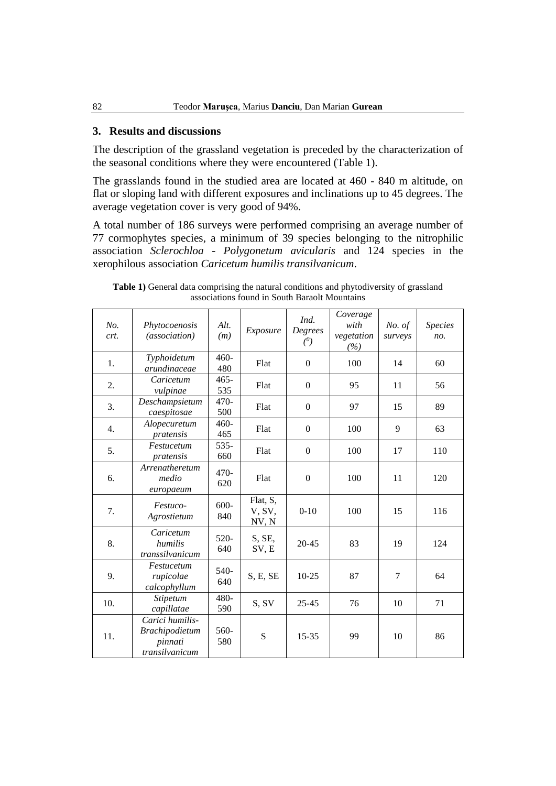## **3. Results and discussions**

The description of the grassland vegetation is preceded by the characterization of the seasonal conditions where they were encountered (Table 1).

The grasslands found in the studied area are located at 460 - 840 m altitude, on flat or sloping land with different exposures and inclinations up to 45 degrees. The average vegetation cover is very good of 94%.

A total number of 186 surveys were performed comprising an average number of 77 cormophytes species, a minimum of 39 species belonging to the nitrophilic association *Sclerochloa - Polygonetum avicularis* and 124 species in the xerophilous association *Caricetum humilis transilvanicum*.

| No.<br>crt. | Phytocoenosis<br>(association)                                 | Alt.<br>(m)    | Exposure                    | Ind.<br>Degrees<br>(0) | Coverage<br>with<br>vegetation<br>(%) | No. of<br>surveys | <i>Species</i><br>no. |
|-------------|----------------------------------------------------------------|----------------|-----------------------------|------------------------|---------------------------------------|-------------------|-----------------------|
| 1.          | Typhoidetum<br>arundinaceae                                    | $460 -$<br>480 | Flat                        | $\Omega$               | 100                                   | 14                | 60                    |
| 2.          | Caricetum<br>vulpinae                                          | $465 -$<br>535 | Flat                        | $\mathbf{0}$           | 95                                    | 11                | 56                    |
| 3.          | Deschampsietum<br>caespitosae                                  | $470-$<br>500  | Flat                        | $\mathbf{0}$           | 97                                    | 15                | 89                    |
| 4.          | Alopecuretum<br>pratensis                                      | $460 -$<br>465 | Flat                        | $\Omega$               | 100                                   | 9                 | 63                    |
| 5.          | Festucetum<br>pratensis                                        | 535-<br>660    | Flat                        | $\mathbf{0}$           | 100                                   | 17                | 110                   |
| 6.          | Arrenatheretum<br>medio<br>europaeum                           | $470-$<br>620  | Flat                        | $\boldsymbol{0}$       | 100                                   | 11                | 120                   |
| 7.          | Festuco-<br>Agrostietum                                        | $600 -$<br>840 | Flat, S,<br>V, SV,<br>NV, N | $0 - 10$               | 100                                   | 15                | 116                   |
| 8.          | Caricetum<br>humilis<br>transsilvanicum                        | $520-$<br>640  | S, SE,<br>SV, E             | $20 - 45$              | 83                                    | 19                | 124                   |
| 9.          | Festucetum<br>rupicolae<br>calcophyllum                        | 540-<br>640    | S, E, SE                    | $10 - 25$              | 87                                    | $\tau$            | 64                    |
| 10.         | Stipetum<br>capillatae                                         | 480-<br>590    | S, SV                       | $25 - 45$              | 76                                    | 10                | 71                    |
| 11.         | Carici humilis-<br>Brachipodietum<br>pinnati<br>transilvanicum | 560-<br>580    | S                           | $15 - 35$              | 99                                    | 10                | 86                    |

**Table 1)** General data comprising the natural conditions and phytodiversity of grassland associations found in South Baraolt Mountains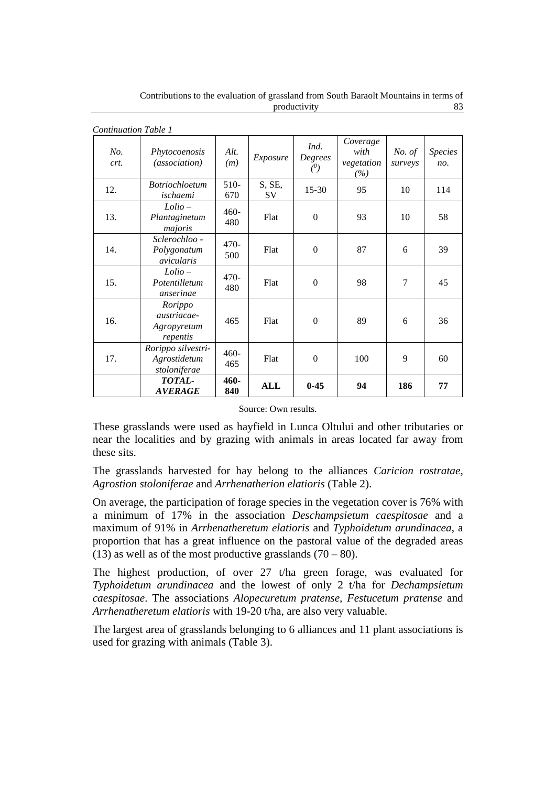| <b>Continuation Table 1</b> |                                                          |               |               |                        |                                       |                   |                       |
|-----------------------------|----------------------------------------------------------|---------------|---------------|------------------------|---------------------------------------|-------------------|-----------------------|
| No.<br>crt.                 | Phytocoenosis<br><i>(association)</i>                    | Alt.<br>(m)   | Exposure      | Ind.<br>Degrees<br>(0) | Coverage<br>with<br>vegetation<br>(%) | No. of<br>surveys | <b>Species</b><br>no. |
| 12.                         | <i>Botriochloetum</i><br>ischaemi                        | $510-$<br>670 | S, SE,<br>SV. | $15 - 30$              | 95                                    | 10                | 114                   |
| 13.                         | $Lolio -$<br>Plantaginetum<br>majoris                    | $460-$<br>480 | Flat          | $\mathbf{0}$           | 93                                    | 10                | 58                    |
| 14.                         | Sclerochloo -<br>Polygonatum<br>avicularis               | $470-$<br>500 | Flat          | $\Omega$               | 87                                    | 6                 | 39                    |
| 15.                         | $Lolio -$<br>Potentilletum<br>anserinae                  | $470-$<br>480 | Flat          | $\mathbf{0}$           | 98                                    | 7                 | 45                    |
| 16.                         | Rorippo<br><i>austriacae-</i><br>Agropyretum<br>repentis | 465           | Flat          | $\Omega$               | 89                                    | 6                 | 36                    |
| 17.                         | Rorippo silvestri-<br>Agrostidetum<br>stoloniferae       | $460-$<br>465 | Flat          | $\Omega$               | 100                                   | 9                 | 60                    |
|                             | TOTAL-<br><b>AVERAGE</b>                                 | 460-<br>840   | ALL           | $0 - 45$               | 94                                    | 186               | 77                    |

Contributions to the evaluation of grassland from South Baraolt Mountains in terms of productivity 83

Source: Own results.

These grasslands were used as hayfield in Lunca Oltului and other tributaries or near the localities and by grazing with animals in areas located far away from these sits.

The grasslands harvested for hay belong to the alliances *Caricion rostratae, Agrostion stoloniferae* and *Arrhenatherion elatioris* (Table 2).

On average, the participation of forage species in the vegetation cover is 76% with a minimum of 17% in the association *Deschampsietum caespitosae* and a maximum of 91% in *Arrhenatheretum elatioris* and *Typhoidetum arundinacea*, a proportion that has a great influence on the pastoral value of the degraded areas (13) as well as of the most productive grasslands  $(70 - 80)$ .

The highest production, of over 27 t/ha green forage, was evaluated for *Typhoidetum arundinacea* and the lowest of only 2 t/ha for *Dechampsietum caespitosae*. The associations *Alopecuretum pratense, Festucetum pratense* and *Arrhenatheretum elatioris* with 19-20 t/ha, are also very valuable.

The largest area of grasslands belonging to 6 alliances and 11 plant associations is used for grazing with animals (Table 3).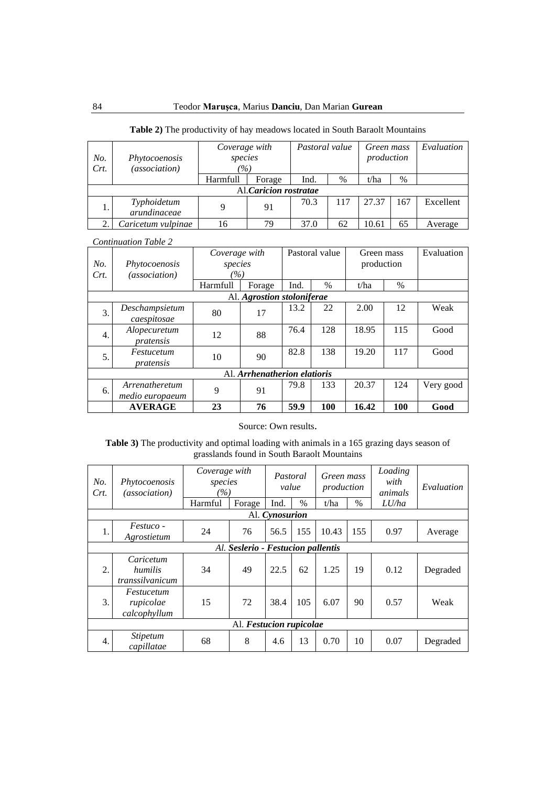| No.<br>Crt. | Phytocoenosis<br>(association) | Coverage with<br>species<br>$( \% )$ | Pastoral value |      | Green mass<br>production |       | Evaluation |           |  |  |
|-------------|--------------------------------|--------------------------------------|----------------|------|--------------------------|-------|------------|-----------|--|--|
|             |                                | Harmfull                             | Forage         | Ind. | $\%$                     | t/ha  | $\%$       |           |  |  |
|             | Al.Caricion rostratae          |                                      |                |      |                          |       |            |           |  |  |
|             | Typhoidetum<br>arundinaceae    | 9                                    | 91             | 70.3 | 117                      | 27.37 | 167        | Excellent |  |  |
|             | Caricetum vulpinae             | 16                                   | 79             | 37.0 | 62                       | 10.61 | 65         | Average   |  |  |

# **Table 2)** The productivity of hay meadows located in South Baraolt Mountains

*Continuation Table 2*

|                              |                      | Coverage with |                            | Pastoral value |      | Green mass |            | Evaluation |
|------------------------------|----------------------|---------------|----------------------------|----------------|------|------------|------------|------------|
| No.                          | Phytocoenosis        | species       |                            |                |      | production |            |            |
| Crt.                         | <i>(association)</i> | $\frac{1}{2}$ |                            |                |      |            |            |            |
|                              |                      | Harmfull      | Forage                     | Ind.           | $\%$ | t/ha       | $\%$       |            |
|                              |                      |               | Al. Agrostion stoloniferae |                |      |            |            |            |
| 3.                           | Deschampsietum       | 80            |                            | 13.2           | 22   | 2.00       | 12         | Weak       |
|                              | caespitosae          |               | 17                         |                |      |            |            |            |
| $\overline{4}$ .             | Alopecuretum         | 12            | 88                         | 76.4           | 128  | 18.95      | 115        | Good       |
|                              | pratensis            |               |                            |                |      |            |            |            |
|                              | Festucetum           |               |                            | 82.8           | 138  | 19.20      | 117        | Good       |
| 5.                           | pratensis            | 10            | 90                         |                |      |            |            |            |
| Al. Arrhenatherion elatioris |                      |               |                            |                |      |            |            |            |
|                              | Arrenatheretum       | 9             |                            | 79.8           | 133  | 20.37      | 124        | Very good  |
| 6.                           | medio europaeum      | 91            |                            |                |      |            |            |            |
|                              | <b>AVERAGE</b>       | 23            | 76                         | 59.9           | 100  | 16.42      | <b>100</b> | Good       |

### Source: Own results.

### **Table 3)** The productivity and optimal loading with animals in a 165 grazing days season of grasslands found in South Baraolt Mountains

| No.<br>Crt.                        | Phytocoenosis<br>(association)          | Coverage with<br>species<br>$\frac{1}{2}$ |        | Pastoral<br>value |               | Green mass<br>production |               | Loading<br>with<br>animals | Evaluation |
|------------------------------------|-----------------------------------------|-------------------------------------------|--------|-------------------|---------------|--------------------------|---------------|----------------------------|------------|
|                                    |                                         | Harmful                                   | Forage | Ind.              | $\frac{0}{0}$ | t/ha                     | $\frac{0}{0}$ | LU/ha                      |            |
|                                    |                                         |                                           |        | Al. Cynosurion    |               |                          |               |                            |            |
| 1.                                 | <i>Festuco -</i><br>Agrostietum         | 24                                        | 76     | 56.5              | 155           | 10.43                    | 155           | 0.97                       | Average    |
| Al. Seslerio - Festucion pallentis |                                         |                                           |        |                   |               |                          |               |                            |            |
| 2.                                 | Caricetum<br>humilis<br>transsilvanicum | 34                                        | 49     | 22.5              | 62            | 1.25                     | 19            | 0.12                       | Degraded   |
| 3.                                 | Festucetum<br>rupicolae<br>calcophyllum | 15                                        | 72     | 38.4              | 105           | 6.07                     | 90            | 0.57                       | Weak       |
|                                    | Al. Festucion rupicolae                 |                                           |        |                   |               |                          |               |                            |            |
| 4.                                 | <i>Stipetum</i><br>capillatae           | 68                                        | 8      | 4.6               | 13            | 0.70                     | 10            | 0.07                       | Degraded   |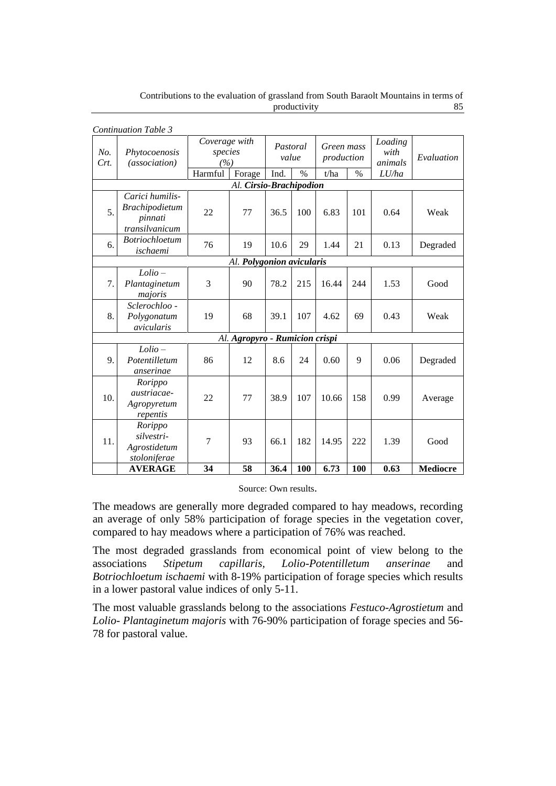|                           | <b>Continuation Table 3</b>                                             |                                 |                                |      |                   |               |                          |                            |                         |
|---------------------------|-------------------------------------------------------------------------|---------------------------------|--------------------------------|------|-------------------|---------------|--------------------------|----------------------------|-------------------------|
| No.<br>Crt.               | Phytocoenosis<br><i>(association)</i>                                   | Coverage with<br>species<br>(%) |                                |      | Pastoral<br>value |               | Green mass<br>production | Loading<br>with<br>animals | Evaluation              |
|                           |                                                                         | Harmful                         | Forage                         | Ind. | $\%$              | t/ha          | $\%$                     | LU/ha                      |                         |
| Al. Cirsio-Brachipodion   |                                                                         |                                 |                                |      |                   |               |                          |                            |                         |
| 5.                        | Carici humilis-<br><b>Brachipodietum</b><br>pinnati<br>transilvanicum   | 22                              | 77                             | 36.5 | 100               | 6.83          | 101                      | 0.64                       | Weak                    |
| 6.                        | <b>Botriochloetum</b><br>ischaemi                                       | 76                              | 19                             | 10.6 | 29                | 1.44          | 21                       | 0.13                       | Degraded                |
| Al. Polygonion avicularis |                                                                         |                                 |                                |      |                   |               |                          |                            |                         |
| 7.                        | $Lolio -$<br>Plantaginetum<br>majoris                                   | 3                               | 90                             | 78.2 | 215               | 16.44         | 244                      | 1.53                       | Good                    |
| 8.                        | Sclerochloo -<br>Polygonatum<br>avicularis                              | 19                              | 68                             | 39.1 | 107               | 4.62          | 69                       | 0.43                       | Weak                    |
|                           |                                                                         |                                 | Al. Agropyro - Rumicion crispi |      |                   |               |                          |                            |                         |
| 9.                        | $Lolio -$<br>Potentilletum<br>anserinae                                 | 86                              | 12                             | 8.6  | 24                | 0.60          | 9                        | 0.06                       | Degraded                |
| 10.                       | Rorippo<br><i>austriacae-</i><br>Agropyretum<br>repentis                | 22                              | 77                             | 38.9 | 107               | 10.66         | 158                      | 0.99                       | Average                 |
| 11.                       | Rorippo<br>silvestri-<br>Agrostidetum<br>stoloniferae<br><b>AVERAGE</b> | 7<br>34                         | 93<br>58                       | 66.1 | 182<br>100        | 14.95<br>6.73 | 222<br>100               | 1.39<br>0.63               | Good<br><b>Mediocre</b> |
|                           |                                                                         |                                 |                                | 36.4 |                   |               |                          |                            |                         |

Contributions to the evaluation of grassland from South Baraolt Mountains in terms of productivity 85

Source: Own results.

The meadows are generally more degraded compared to hay meadows, recording an average of only 58% participation of forage species in the vegetation cover, compared to hay meadows where a participation of 76% was reached.

The most degraded grasslands from economical point of view belong to the associations *Stipetum capillaris, Lolio-Potentilletum anserinae* and *Botriochloetum ischaemi* with 8-19% participation of forage species which results in a lower pastoral value indices of only 5-11.

The most valuable grasslands belong to the associations *Festuco-Agrostietum* and *Lolio- Plantaginetum majoris* with 76-90% participation of forage species and 56- 78 for pastoral value.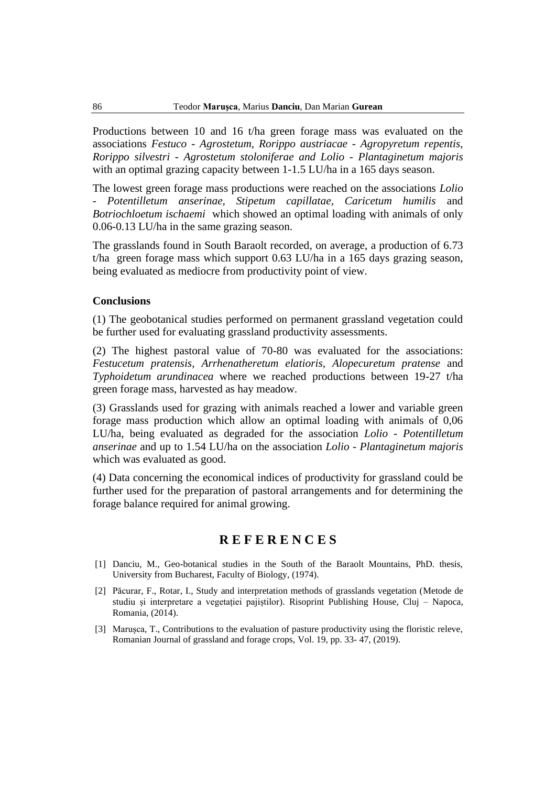Productions between 10 and 16 t/ha green forage mass was evaluated on the associations *Festuco - Agrostetum, Rorippo austriacae - Agropyretum repentis, Rorippo silvestri - Agrostetum stoloniferae and Lolio - Plantaginetum majoris* with an optimal grazing capacity between 1-1.5 LU/ha in a 165 days season.

The lowest green forage mass productions were reached on the associations *Lolio - Potentilletum anserinae, Stipetum capillatae, Caricetum humilis* and *Botriochloetum ischaemi* which showed an optimal loading with animals of only 0.06-0.13 LU/ha in the same grazing season.

The grasslands found in South Baraolt recorded, on average, a production of 6.73 t/ha green forage mass which support 0.63 LU/ha in a 165 days grazing season, being evaluated as mediocre from productivity point of view.

## **Conclusions**

(1) The geobotanical studies performed on permanent grassland vegetation could be further used for evaluating grassland productivity assessments.

(2) The highest pastoral value of 70-80 was evaluated for the associations: *Festucetum pratensis, Arrhenatheretum elatioris, Alopecuretum pratense* and *Typhoidetum arundinacea* where we reached productions between 19-27 t/ha green forage mass, harvested as hay meadow.

(3) Grasslands used for grazing with animals reached a lower and variable green forage mass production which allow an optimal loading with animals of 0,06 LU/ha, being evaluated as degraded for the association *Lolio - Potentilletum anserinae* and up to 1.54 LU/ha on the association *Lolio - Plantaginetum majoris* which was evaluated as good.

(4) Data concerning the economical indices of productivity for grassland could be further used for the preparation of pastoral arrangements and for determining the forage balance required for animal growing.

# **R E F E R E N C E S**

- [1] Danciu, M., Geo-botanical studies in the South of the Baraolt Mountains, PhD. thesis, University from Bucharest, Faculty of Biology, (1974).
- [2] Păcurar, F., Rotar, I., Study and interpretation methods of grasslands vegetation (Metode de studiu și interpretare a vegetației pajiștilor). Risoprint Publishing House, Cluj – Napoca, Romania, (2014).
- [3] Marușca, T., Contributions to the evaluation of pasture productivity using the floristic releve, Romanian Journal of grassland and forage crops, Vol. 19, pp. 33- 47, (2019).